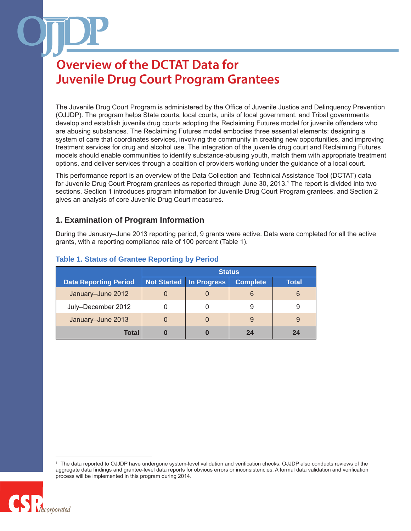The Juvenile Drug Court Program is administered by the Office of Juvenile Justice and Delinquency Prevention (OJJDP). The program helps State courts, local courts, units of local government, and Tribal governments develop and establish juvenile drug courts adopting the Reclaiming Futures model for juvenile offenders who are abusing substances. The Reclaiming Futures model embodies three essential elements: designing a system of care that coordinates services, involving the community in creating new opportunities, and improving treatment services for drug and alcohol use. The integration of the juvenile drug court and Reclaiming Futures models should enable communities to identify substance-abusing youth, match them with appropriate treatment options, and deliver services through a coalition of providers working under the guidance of a local court.

This performance report is an overview of the Data Collection and Technical Assistance Tool (DCTAT) data for Juvenile Drug Court Program grantees as reported through June 30, 2013.1 The report is divided into two sections. Section 1 introduces program information for Juvenile Drug Court Program grantees, and Section 2 gives an analysis of core Juvenile Drug Court measures.

### **1. Examination of Program Information**

During the January–June 2013 reporting period, 9 grants were active. Data were completed for all the active grants, with a reporting compliance rate of 100 percent (Table 1).

|                              | <b>Status</b>      |             |                 |              |
|------------------------------|--------------------|-------------|-----------------|--------------|
| <b>Data Reporting Period</b> | <b>Not Started</b> | In Progress | <b>Complete</b> | <b>Total</b> |
| January-June 2012            |                    |             | 6               | 6            |
| July-December 2012           |                    |             | 9               | 9            |
| January-June 2013            |                    |             | 9               | 9            |
| Total                        |                    |             | 24              | 24           |

### **Table 1. Status of Grantee Reporting by Period**

The data reported to OJJDP have undergone system-level validation and verification checks. OJJDP also conducts reviews of the aggregate data findings and grantee-level data reports for obvious errors or inconsistencies. A formal data validation and verification process will be implemented in this program during 2014.

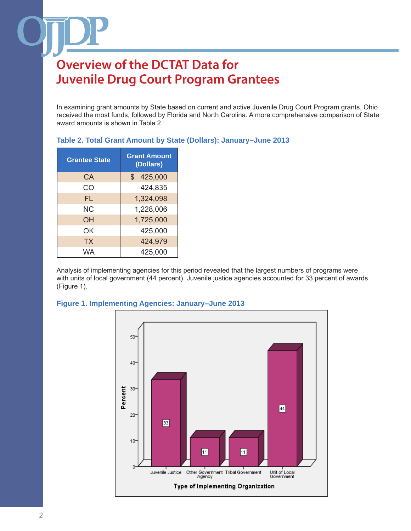In examining grant amounts by State based on current and active Juvenile Drug Court Program grants, Ohio received the most funds, followed by Florida and North Carolina. A more comprehensive comparison of State award amounts is shown in Table 2.

| Table 2. Total Grant Amount by State (Dollars): January-June 2013 |
|-------------------------------------------------------------------|
|-------------------------------------------------------------------|

| <b>Grantee State</b> | <b>Grant Amount</b><br>(Dollars) |
|----------------------|----------------------------------|
| CA                   | \$425,000                        |
| CO                   | 424,835                          |
| FL.                  | 1,324,098                        |
| NC.                  | 1,228,006                        |
| OΗ                   | 1,725,000                        |
| ΩK                   | 425,000                          |
| ТX                   | 424,979                          |
| WA                   | 425,000                          |

Analysis of implementing agencies for this period revealed that the largest numbers of programs were with units of local government (44 percent). Juvenile justice agencies accounted for 33 percent of awards (Figure 1).



#### **Figure 1. Implementing Agencies: January–June 2013**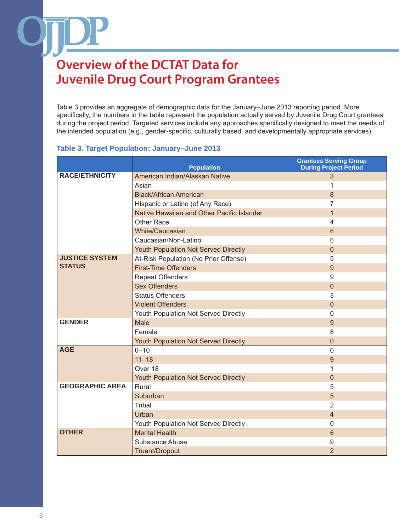Table 3 provides an aggregate of demographic data for the January–June 2013 reporting period. More specifically, the numbers in the table represent the population actually served by Juvenile Drug Court grantees during the project period. Targeted services include any approaches specifically designed to meet the needs of the intended population (e.g., gender-specific, culturally based, and developmentally appropriate services).

#### **Table 3. Target Population: January–June 2013**

|                        | <b>Population</b>                           | <b>Grantees Serving Group</b><br><b>During Project Period</b> |
|------------------------|---------------------------------------------|---------------------------------------------------------------|
| <b>RACE/ETHNICITY</b>  | American Indian/Alaskan Native              | 3                                                             |
|                        | Asian                                       | 1                                                             |
|                        | <b>Black/African American</b>               | 8                                                             |
|                        | Hispanic or Latino (of Any Race)            | 7                                                             |
|                        | Native Hawaiian and Other Pacific Islander  | 1                                                             |
|                        | <b>Other Race</b>                           | 4                                                             |
|                        | White/Caucasian                             | $6\phantom{1}6$                                               |
|                        | Caucasian/Non-Latino                        | 6                                                             |
|                        | <b>Youth Population Not Served Directly</b> | $\overline{0}$                                                |
| <b>JUSTICE SYSTEM</b>  | At-Risk Population (No Prior Offense)       | 5                                                             |
| <b>STATUS</b>          | <b>First-Time Offenders</b>                 | 9                                                             |
|                        | <b>Repeat Offenders</b>                     | 9                                                             |
|                        | <b>Sex Offenders</b>                        | $\theta$                                                      |
|                        | <b>Status Offenders</b>                     | 3                                                             |
|                        | <b>Violent Offenders</b>                    | $\Omega$                                                      |
|                        | Youth Population Not Served Directly        | $\mathbf 0$                                                   |
| <b>GENDER</b>          | <b>Male</b>                                 | 9                                                             |
|                        | Female                                      | 8                                                             |
|                        | Youth Population Not Served Directly        | $\mathbf 0$                                                   |
| <b>AGE</b>             | $0 - 10$                                    | $\overline{0}$                                                |
|                        | $11 - 18$                                   | 9                                                             |
|                        | Over 18                                     | 1                                                             |
|                        | Youth Population Not Served Directly        | $\overline{0}$                                                |
| <b>GEOGRAPHIC AREA</b> | Rural                                       | 5                                                             |
|                        | Suburban                                    | 5                                                             |
|                        | Tribal                                      | $\overline{2}$                                                |
|                        | Urban                                       | $\overline{4}$                                                |
|                        | Youth Population Not Served Directly        | $\overline{0}$                                                |
| <b>OTHER</b>           | <b>Mental Health</b>                        | 6                                                             |
|                        | Substance Abuse                             | 9                                                             |
|                        | Truant/Dropout                              | $\overline{2}$                                                |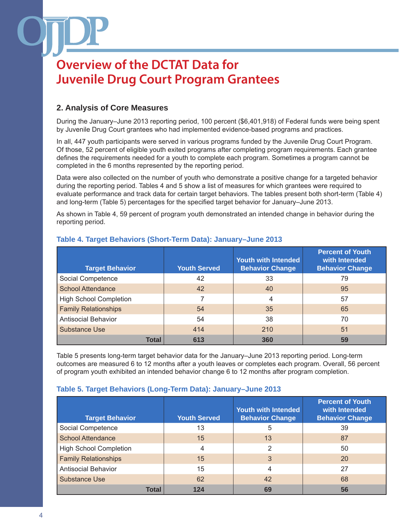### **2. Analysis of Core Measures**

During the January–June 2013 reporting period, 100 percent (\$6,401,918) of Federal funds were being spent by Juvenile Drug Court grantees who had implemented evidence-based programs and practices.

In all, 447 youth participants were served in various programs funded by the Juvenile Drug Court Program. Of those, 52 percent of eligible youth exited programs after completing program requirements. Each grantee defines the requirements needed for a youth to complete each program. Sometimes a program cannot be completed in the 6 months represented by the reporting period.

Data were also collected on the number of youth who demonstrate a positive change for a targeted behavior during the reporting period. Tables 4 and 5 show a list of measures for which grantees were required to evaluate performance and track data for certain target behaviors. The tables present both short-term (Table 4) and long-term (Table 5) percentages for the specified target behavior for January–June 2013.

As shown in Table 4, 59 percent of program youth demonstrated an intended change in behavior during the reporting period.

| <b>Target Behavior</b>        | <b>Youth Served</b> | <b>Youth with Intended</b><br><b>Behavior Change</b> | <b>Percent of Youth</b><br>with Intended<br><b>Behavior Change</b> |
|-------------------------------|---------------------|------------------------------------------------------|--------------------------------------------------------------------|
| Social Competence             | 42                  | 33                                                   | 79                                                                 |
| <b>School Attendance</b>      | 42                  | 40                                                   | 95                                                                 |
| <b>High School Completion</b> |                     | 4                                                    | 57                                                                 |
| <b>Family Relationships</b>   | 54                  | 35                                                   | 65                                                                 |
| <b>Antisocial Behavior</b>    | 54                  | 38                                                   | 70                                                                 |
| Substance Use                 | 414                 | 210                                                  | 51                                                                 |
| Total                         | 613                 | 360                                                  | 59                                                                 |

### **Table 4. Target Behaviors (Short-Term Data): January–June 2013**

Table 5 presents long-term target behavior data for the January–June 2013 reporting period. Long-term outcomes are measured 6 to 12 months after a youth leaves or completes each program. Overall, 56 percent of program youth exhibited an intended behavior change 6 to 12 months after program completion.

### **Table 5. Target Behaviors (Long-Term Data): January–June 2013**

| <b>Target Behavior</b>        | <b>Youth Served</b> | <b>Youth with Intended</b><br><b>Behavior Change</b> | <b>Percent of Youth</b><br>with Intended<br><b>Behavior Change</b> |
|-------------------------------|---------------------|------------------------------------------------------|--------------------------------------------------------------------|
| Social Competence             | 13                  | 5                                                    | 39                                                                 |
| <b>School Attendance</b>      | 15                  | 13                                                   | 87                                                                 |
| <b>High School Completion</b> | 4                   | 2                                                    | 50                                                                 |
| <b>Family Relationships</b>   | 15                  | 3                                                    | 20                                                                 |
| <b>Antisocial Behavior</b>    | 15                  | 4                                                    | 27                                                                 |
| Substance Use                 | 62                  | 42                                                   | 68                                                                 |
| Total                         | 124                 | 69                                                   | 56                                                                 |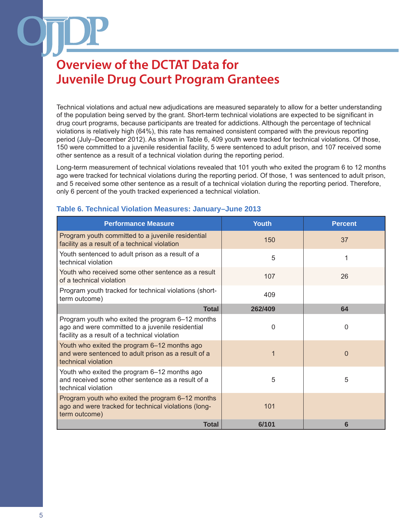Technical violations and actual new adjudications are measured separately to allow for a better understanding of the population being served by the grant. Short-term technical violations are expected to be significant in drug court programs, because participants are treated for addictions. Although the percentage of technical violations is relatively high (64%), this rate has remained consistent compared with the previous reporting period (July–December 2012). As shown in Table 6, 409 youth were tracked for technical violations. Of those, 150 were committed to a juvenile residential facility, 5 were sentenced to adult prison, and 107 received some other sentence as a result of a technical violation during the reporting period.

Long-term measurement of technical violations revealed that 101 youth who exited the program 6 to 12 months ago were tracked for technical violations during the reporting period. Of those, 1 was sentenced to adult prison, and 5 received some other sentence as a result of a technical violation during the reporting period. Therefore, only 6 percent of the youth tracked experienced a technical violation.

| <b>Performance Measure</b>                                                                                                                            | <b>Youth</b> | <b>Percent</b> |
|-------------------------------------------------------------------------------------------------------------------------------------------------------|--------------|----------------|
| Program youth committed to a juvenile residential<br>facility as a result of a technical violation                                                    | 150          | 37             |
| Youth sentenced to adult prison as a result of a<br>technical violation                                                                               | 5            | 1              |
| Youth who received some other sentence as a result<br>of a technical violation                                                                        | 107          | 26             |
| Program youth tracked for technical violations (short-<br>term outcome)                                                                               | 409          |                |
| <b>Total</b>                                                                                                                                          | 262/409      | 64             |
| Program youth who exited the program 6-12 months<br>ago and were committed to a juvenile residential<br>facility as a result of a technical violation | $\Omega$     | $\Omega$       |
| Youth who exited the program 6-12 months ago<br>and were sentenced to adult prison as a result of a<br>technical violation                            | $\mathbf 1$  | $\Omega$       |
| Youth who exited the program 6–12 months ago<br>and received some other sentence as a result of a<br>technical violation                              | 5            | 5              |
| Program youth who exited the program 6-12 months<br>ago and were tracked for technical violations (long-<br>term outcome)                             | 101          |                |
| <b>Total</b>                                                                                                                                          | 6/101        | 6              |

#### **Table 6. Technical Violation Measures: January–June 2013**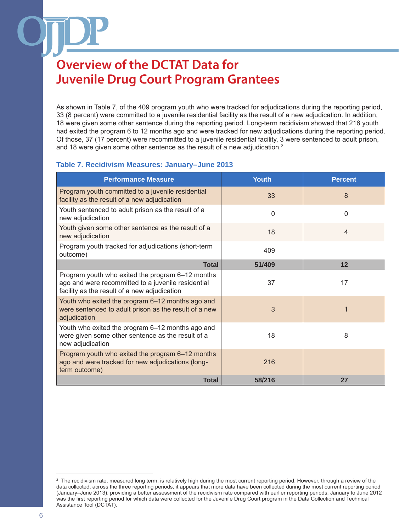As shown in Table 7, of the 409 program youth who were tracked for adjudications during the reporting period, 33 (8 percent) were committed to a juvenile residential facility as the result of a new adjudication. In addition, 18 were given some other sentence during the reporting period. Long-term recidivism showed that 216 youth had exited the program 6 to 12 months ago and were tracked for new adjudications during the reporting period. Of those, 37 (17 percent) were recommitted to a juvenile residential facility, 3 were sentenced to adult prison, and 18 were given some other sentence as the result of a new adjudication.<sup>2</sup>

#### **Table 7. Recidivism Measures: January–June 2013**

| <b>Performance Measure</b>                                                                                                                             | <b>Youth</b> | <b>Percent</b> |
|--------------------------------------------------------------------------------------------------------------------------------------------------------|--------------|----------------|
| Program youth committed to a juvenile residential<br>facility as the result of a new adjudication                                                      | 33           | 8              |
| Youth sentenced to adult prison as the result of a<br>new adjudication                                                                                 | $\Omega$     | $\Omega$       |
| Youth given some other sentence as the result of a<br>new adjudication                                                                                 | 18           | $\overline{4}$ |
| Program youth tracked for adjudications (short-term<br>outcome)                                                                                        | 409          |                |
| <b>Total</b>                                                                                                                                           | 51/409       | 12             |
| Program youth who exited the program 6-12 months<br>ago and were recommitted to a juvenile residential<br>facility as the result of a new adjudication | 37           | 17             |
| Youth who exited the program 6-12 months ago and<br>were sentenced to adult prison as the result of a new<br>adjudication                              | 3            |                |
| Youth who exited the program 6–12 months ago and<br>were given some other sentence as the result of a<br>new adjudication                              | 18           | 8              |
| Program youth who exited the program 6–12 months<br>ago and were tracked for new adjudications (long-<br>term outcome)                                 | 216          |                |
| <b>Total</b>                                                                                                                                           | 58/216       | 27             |

<sup>&</sup>lt;sup>2</sup> The recidivism rate, measured long term, is relatively high during the most current reporting period. However, through a review of the data collected, across the three reporting periods, it appears that more data have been collected during the most current reporting period (January–June 2013), providing a better assessment of the recidivism rate compared with earlier reporting periods. January to June 2012 was the first reporting period for which data were collected for the Juvenile Drug Court program in the Data Collection and Technical Assistance Tool (DCTAT).